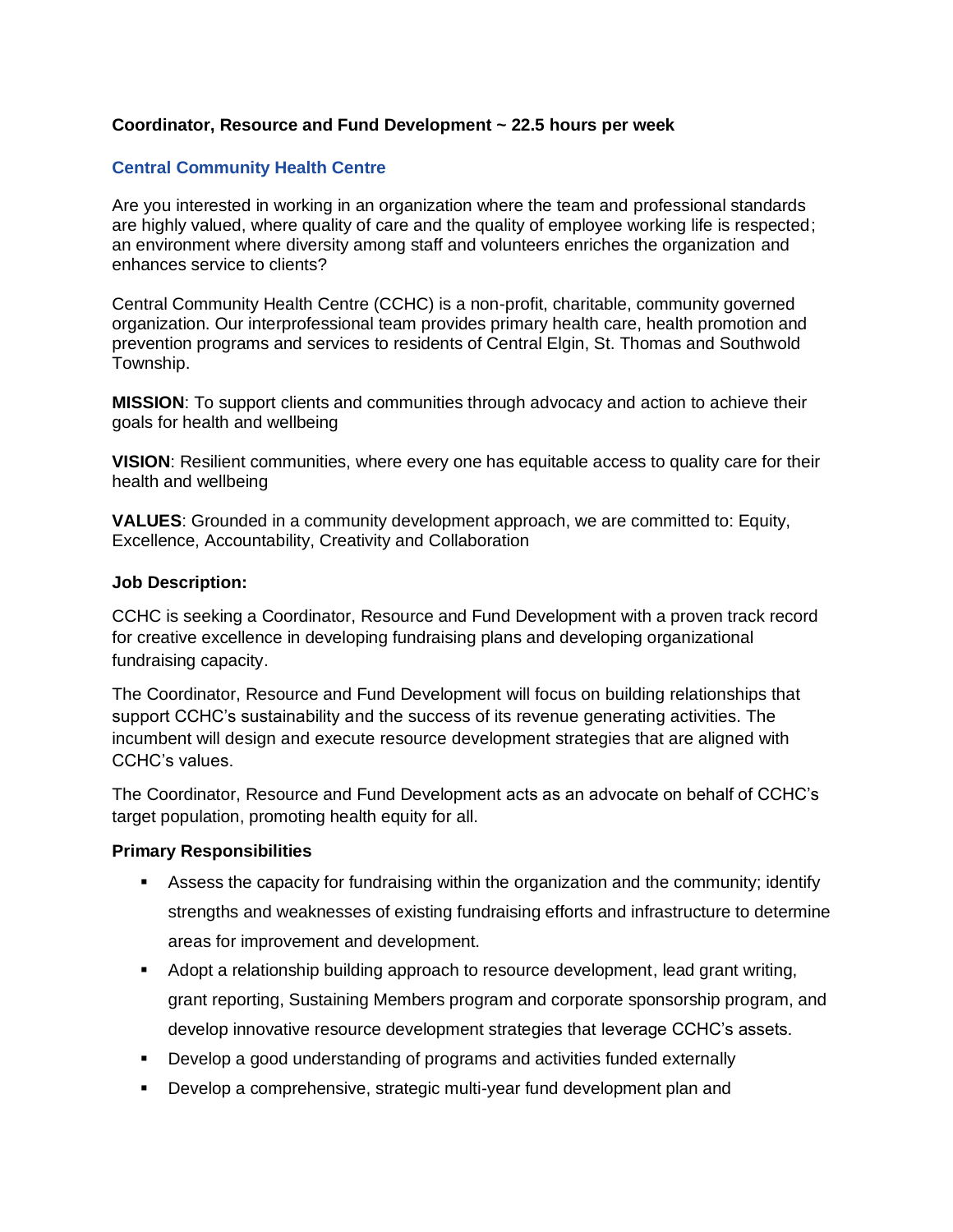## **Coordinator, Resource and Fund Development ~ 22.5 hours per week**

## **[Central Community Health Centre](http://www.southwesthealthline.ca/displayService.aspx?id=15064)**

Are you interested in working in an organization where the team and professional standards are highly valued, where quality of care and the quality of employee working life is respected; an environment where diversity among staff and volunteers enriches the organization and enhances service to clients?

Central Community Health Centre (CCHC) is a non-profit, charitable, community governed organization. Our interprofessional team provides primary health care, health promotion and prevention programs and services to residents of Central Elgin, St. Thomas and Southwold Township.

**MISSION**: To support clients and communities through advocacy and action to achieve their goals for health and wellbeing

**VISION**: Resilient communities, where every one has equitable access to quality care for their health and wellbeing

**VALUES**: Grounded in a community development approach, we are committed to: Equity, Excellence, Accountability, Creativity and Collaboration

#### **Job Description:**

CCHC is seeking a Coordinator, Resource and Fund Development with a proven track record for creative excellence in developing fundraising plans and developing organizational fundraising capacity.

The Coordinator, Resource and Fund Development will focus on building relationships that support CCHC's sustainability and the success of its revenue generating activities. The incumbent will design and execute resource development strategies that are aligned with CCHC's values.

The Coordinator, Resource and Fund Development acts as an advocate on behalf of CCHC's target population, promoting health equity for all.

### **Primary Responsibilities**

- **EXE** Assess the capacity for fundraising within the organization and the community; identify strengths and weaknesses of existing fundraising efforts and infrastructure to determine areas for improvement and development.
- Adopt a relationship building approach to resource development, lead grant writing, grant reporting, Sustaining Members program and corporate sponsorship program, and develop innovative resource development strategies that leverage CCHC's assets.
- Develop a good understanding of programs and activities funded externally
- Develop a comprehensive, strategic multi-year fund development plan and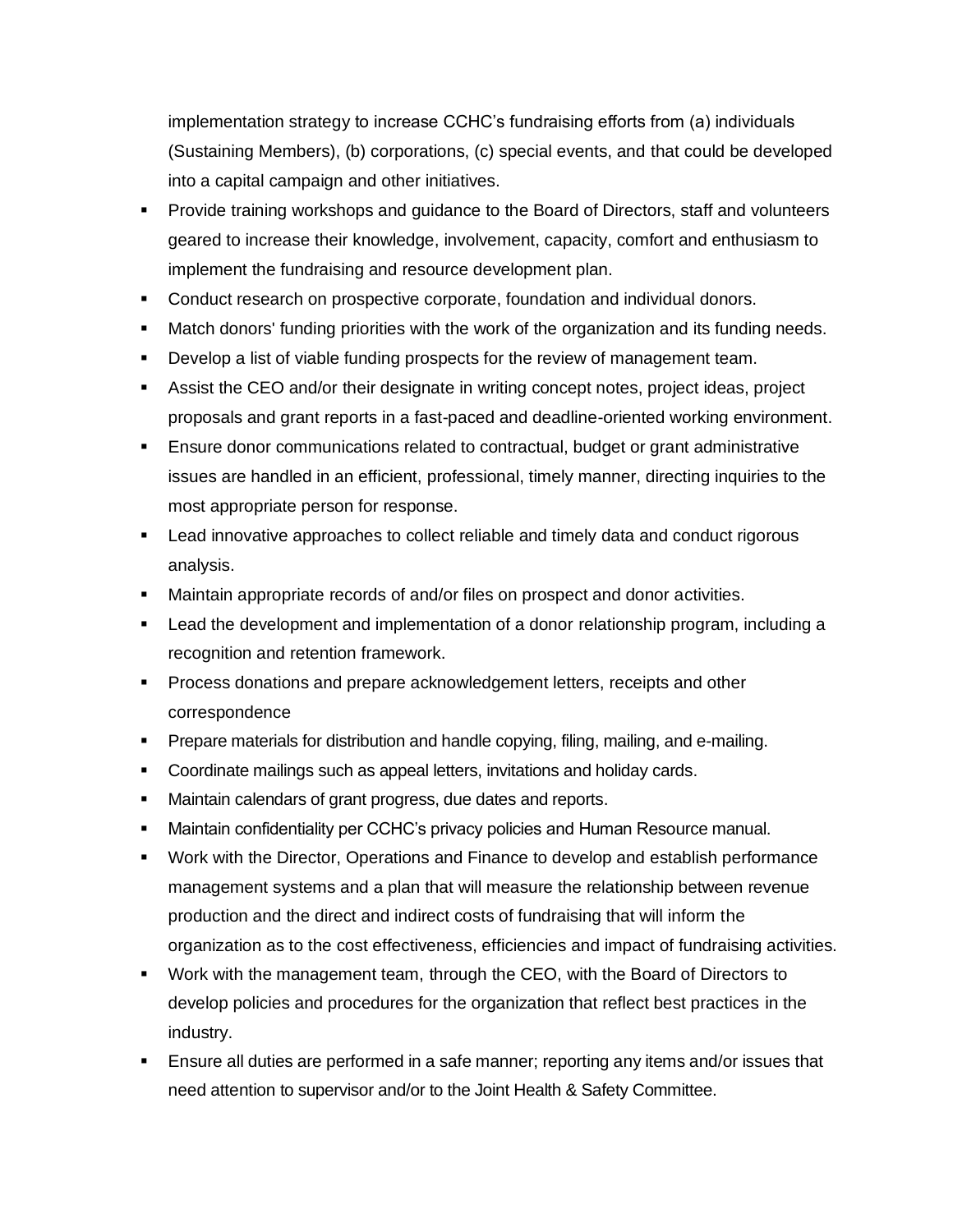implementation strategy to increase CCHC's fundraising efforts from (a) individuals (Sustaining Members), (b) corporations, (c) special events, and that could be developed into a capital campaign and other initiatives.

- Provide training workshops and guidance to the Board of Directors, staff and volunteers geared to increase their knowledge, involvement, capacity, comfort and enthusiasm to implement the fundraising and resource development plan.
- **Conduct research on prospective corporate, foundation and individual donors.**
- Match donors' funding priorities with the work of the organization and its funding needs.
- **•** Develop a list of viable funding prospects for the review of management team.
- **EXECO AND ASSIST THE ASSIST LACK CONCOCO ANDER** Assist the CEO and/or their designate in writing concept ideas, project proposals and grant reports in a fast-paced and deadline-oriented working environment.
- **E** Ensure donor communications related to contractual, budget or grant administrative issues are handled in an efficient, professional, timely manner, directing inquiries to the most appropriate person for response.
- Lead innovative approaches to collect reliable and timely data and conduct rigorous analysis.
- **■** Maintain appropriate records of and/or files on prospect and donor activities.
- Lead the development and implementation of a donor relationship program, including a recognition and retention framework.
- **Process donations and prepare acknowledgement letters, receipts and other** correspondence
- **Prepare materials for distribution and handle copying, filing, mailing, and e-mailing.**
- Coordinate mailings such as appeal letters, invitations and holiday cards.
- Maintain calendars of grant progress, due dates and reports.
- **■** Maintain confidentiality per CCHC's privacy policies and Human Resource manual.
- Work with the Director, Operations and Finance to develop and establish performance management systems and a plan that will measure the relationship between revenue production and the direct and indirect costs of fundraising that will inform the organization as to the cost effectiveness, efficiencies and impact of fundraising activities.
- Work with the management team, through the CEO, with the Board of Directors to develop policies and procedures for the organization that reflect best practices in the industry.
- **Ensure all duties are performed in a safe manner; reporting any items and/or issues that** need attention to supervisor and/or to the Joint Health & Safety Committee.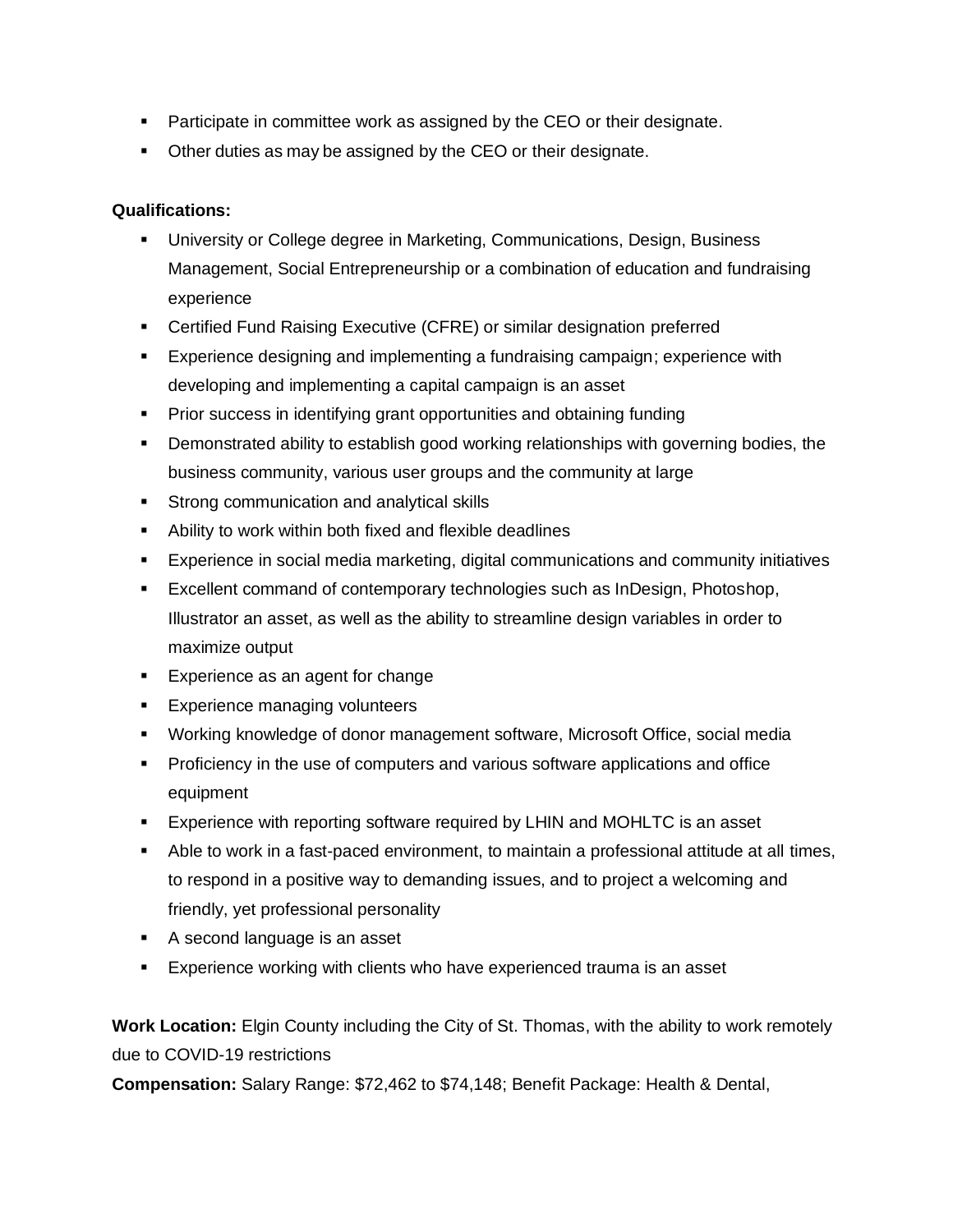- Participate in committee work as assigned by the CEO or their designate.
- Other duties as may be assigned by the CEO or their designate.

# **Qualifications:**

- University or College degree in Marketing, Communications, Design, Business Management, Social Entrepreneurship or a combination of education and fundraising experience
- Certified Fund Raising Executive (CFRE) or similar designation preferred
- Experience designing and implementing a fundraising campaign; experience with developing and implementing a capital campaign is an asset
- Prior success in identifying grant opportunities and obtaining funding
- **•** Demonstrated ability to establish good working relationships with governing bodies, the business community, various user groups and the community at large
- **EXTEND Strong communication and analytical skills**
- Ability to work within both fixed and flexible deadlines
- Experience in social media marketing, digital communications and community initiatives
- Excellent command of contemporary technologies such as InDesign, Photoshop, Illustrator an asset, as well as the ability to streamline design variables in order to maximize output
- Experience as an agent for change
- **Experience managing volunteers**
- Working knowledge of donor management software, Microsoft Office, social media
- Proficiency in the use of computers and various software applications and office equipment
- **Experience with reporting software required by LHIN and MOHLTC is an asset**
- Able to work in a fast-paced environment, to maintain a professional attitude at all times, to respond in a positive way to demanding issues, and to project a welcoming and friendly, yet professional personality
- A second language is an asset
- **Experience working with clients who have experienced trauma is an asset**

**Work Location:** Elgin County including the City of St. Thomas, with the ability to work remotely due to COVID-19 restrictions

**Compensation:** Salary Range: \$72,462 to \$74,148; Benefit Package: Health & Dental,